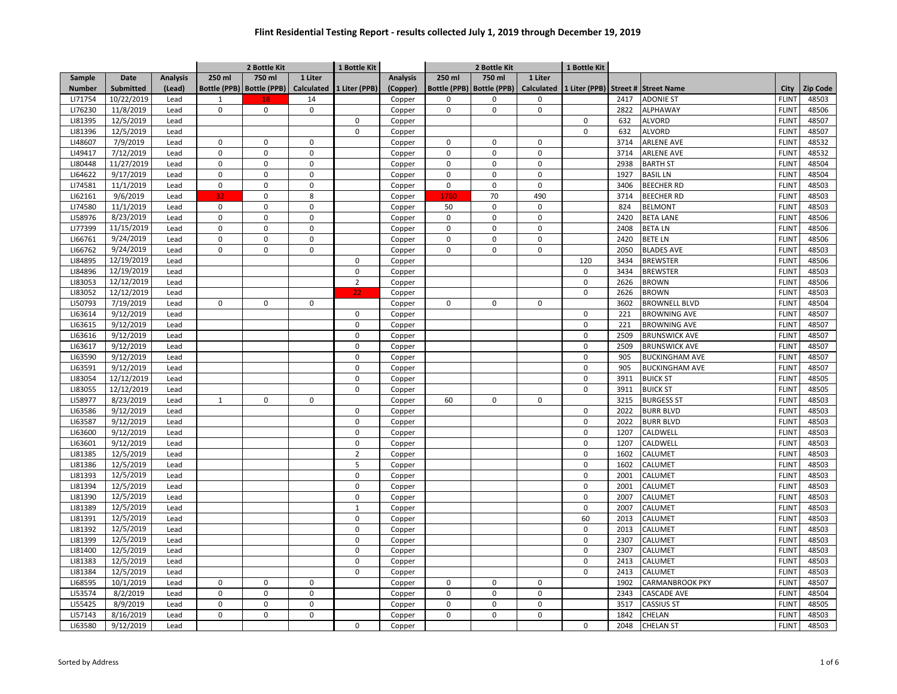|                    |            |                 | 2 Bottle Kit |                             |                   | 1 Bottle Kit   |                 | 2 Bottle Kit |                             |             | 1 Bottle Kit |              |                                    |                              |                 |
|--------------------|------------|-----------------|--------------|-----------------------------|-------------------|----------------|-----------------|--------------|-----------------------------|-------------|--------------|--------------|------------------------------------|------------------------------|-----------------|
| Sample             | Date       | <b>Analysis</b> | 250 ml       | 750 ml                      | 1 Liter           |                | <b>Analysis</b> | 250 ml       | 750 ml                      | 1 Liter     |              |              |                                    |                              |                 |
| <b>Number</b>      | Submitted  | (Lead)          |              | Bottle (PPB)   Bottle (PPB) | <b>Calculated</b> | 1 Liter (PPB)  | (Copper)        |              | Bottle (PPB)   Bottle (PPB) | Calculated  |              |              | 1 Liter (PPB) Street # Street Name | City                         | <b>Zip Code</b> |
| LI71754            | 10/22/2019 | Lead            | $\mathbf{1}$ |                             | 14                |                | Copper          | 0            | 0                           | 0           |              | 2417         | <b>ADONIE ST</b>                   | <b>FLINT</b>                 | 48503           |
| LI76230            | 11/8/2019  | Lead            | $\mathbf 0$  | $\mathbf 0$                 | $\mathbf 0$       |                | Copper          | $\Omega$     | $\mathbf 0$                 | 0           |              | 2822         | <b>ALPHAWAY</b>                    | <b>FLINT</b>                 | 48506           |
| LI81395            | 12/5/2019  | Lead            |              |                             |                   | $\mathbf 0$    | Copper          |              |                             |             | $\pmb{0}$    | 632          | <b>ALVORD</b>                      | <b>FLINT</b>                 | 48507           |
| LI81396            | 12/5/2019  | Lead            |              |                             |                   | $\Omega$       | Copper          |              |                             |             | $\mathbf 0$  | 632          | <b>ALVORD</b>                      | <b>FLINT</b>                 | 48507           |
| LI48607            | 7/9/2019   | Lead            | 0            | $\mathbf 0$                 | 0                 |                | Copper          | $\mathsf 0$  | 0                           | 0           |              | 3714         | <b>ARLENE AVE</b>                  | <b>FLINT</b>                 | 48532           |
| LI49417            | 7/12/2019  | Lead            | 0            | $\mathbf 0$                 | $\mathbf 0$       |                | Copper          | $\mathsf 0$  | $\mathbf 0$                 | 0           |              | 3714         | <b>ARLENE AVE</b>                  | <b>FLINT</b>                 | 48532           |
| LI80448            | 11/27/2019 | Lead            | $\Omega$     | $\Omega$                    | $\Omega$          |                | Copper          | $\mathbf 0$  | $\mathbf 0$                 | 0           |              | 2938         | <b>BARTH ST</b>                    | <b>FLINT</b>                 | 48504           |
| LI64622            | 9/17/2019  | Lead            | $\mathbf 0$  | $\mathbf 0$                 | $\mathbf 0$       |                | Copper          | $\mathbf 0$  | $\mathbf 0$                 | $\mathbf 0$ |              | 1927         | <b>BASIL LN</b>                    | <b>FLINT</b>                 | 48504           |
| LI74581            | 11/1/2019  | Lead            | $\mathbf 0$  | $\mathbf 0$                 | $\mathbf 0$       |                | Copper          | $\mathbf 0$  | $\mathbf 0$                 | $\mathsf 0$ |              | 3406         | <b>BEECHER RD</b>                  | <b>FLINT</b>                 | 48503           |
| LI62161            | 9/6/2019   | Lead            | 32           | $\mathbf 0$                 | 8                 |                | Copper          | 1760         | 70                          | 490         |              | 3714         | <b>BEECHER RD</b>                  | <b>FLINT</b>                 | 48503           |
| LI74580            | 11/1/2019  | Lead            | $\mathsf 0$  | $\mathsf 0$                 | 0                 |                | Copper          | 50           | $\pmb{0}$                   | 0           |              | 824          | <b>BELMONT</b>                     | <b>FLINT</b>                 | 48503           |
| LI58976            | 8/23/2019  | Lead            | $\mathbf 0$  | $\mathbf 0$                 | $\mathbf 0$       |                | Copper          | $\mathbf 0$  | $\mathbf 0$                 | 0           |              | 2420         | <b>BETA LANE</b>                   | <b>FLINT</b>                 | 48506           |
| LI77399            | 11/15/2019 | Lead            | $\mathbf 0$  | $\mathbf 0$                 | $\mathbf 0$       |                | Copper          | $\mathbf 0$  | $\mathbf 0$                 | 0           |              | 2408         | <b>BETALN</b>                      | <b>FLINT</b>                 | 48506           |
| LI66761            | 9/24/2019  | Lead            | 0            | $\mathsf 0$                 | 0                 |                | Copper          | $\mathsf 0$  | $\pmb{0}$                   | 0           |              | 2420         | <b>BETELN</b>                      | <b>FLINT</b>                 | 48506           |
| LI66762            | 9/24/2019  | Lead            | $\Omega$     | 0                           | $\Omega$          |                | Copper          | 0            | $\mathbf 0$                 | 0           |              | 2050         | <b>BLADES AVE</b>                  | <b>FLINT</b>                 | 48503           |
| LI84895            | 12/19/2019 | Lead            |              |                             |                   | $\mathbf 0$    | Copper          |              |                             |             | 120          | 3434         | <b>BREWSTER</b>                    | <b>FLINT</b>                 | 48506           |
| LI84896            | 12/19/2019 | Lead            |              |                             |                   | $\mathbf 0$    | Copper          |              |                             |             | $\mathbf 0$  | 3434         | <b>BREWSTER</b>                    | <b>FLINT</b>                 | 48503           |
| LI83053            | 12/12/2019 | Lead            |              |                             |                   | $\overline{2}$ | Copper          |              |                             |             | $\pmb{0}$    | 2626         | <b>BROWN</b>                       | <b>FLINT</b>                 | 48506           |
| LI83052            | 12/12/2019 | Lead            |              |                             |                   | 22             | Copper          |              |                             |             | $\mathbf 0$  | 2626         | <b>BROWN</b>                       | <b>FLINT</b>                 | 48503           |
| LI50793            | 7/19/2019  | Lead            | $\mathbf 0$  | $\mathbf 0$                 | 0                 |                | Copper          | $\mathbf 0$  | $\mathbf 0$                 | 0           |              | 3602         | <b>BROWNELL BLVD</b>               | <b>FLINT</b>                 | 48504           |
| LI63614            | 9/12/2019  | Lead            |              |                             |                   | $\mathbf 0$    | Copper          |              |                             |             | $\pmb{0}$    | 221          | <b>BROWNING AVE</b>                | <b>FLINT</b>                 | 48507           |
| LI63615            | 9/12/2019  | Lead            |              |                             |                   | $\mathbf 0$    | Copper          |              |                             |             | $\pmb{0}$    | 221          | <b>BROWNING AVE</b>                | <b>FLINT</b>                 | 48507           |
|                    | 9/12/2019  |                 |              |                             |                   | $\mathbf 0$    |                 |              |                             |             | $\pmb{0}$    |              |                                    |                              |                 |
| LI63616            | 9/12/2019  | Lead            |              |                             |                   | $\Omega$       | Copper          |              |                             |             | $\mathbf 0$  | 2509<br>2509 | <b>BRUNSWICK AVE</b>               | <b>FLINT</b><br><b>FLINT</b> | 48507<br>48507  |
| LI63617<br>LI63590 |            | Lead<br>Lead    |              |                             |                   | $\mathbf 0$    | Copper          |              |                             |             | $\mathbf 0$  | 905          | <b>BRUNSWICK AVE</b>               | <b>FLINT</b>                 | 48507           |
|                    | 9/12/2019  |                 |              |                             |                   |                | Copper          |              |                             |             |              |              | <b>BUCKINGHAM AVE</b>              |                              |                 |
| LI63591            | 9/12/2019  | Lead            |              |                             |                   | $\mathbf 0$    | Copper          |              |                             |             | $\pmb{0}$    | 905          | <b>BUCKINGHAM AVE</b>              | <b>FLINT</b>                 | 48507           |
| LI83054            | 12/12/2019 | Lead            |              |                             |                   | $\mathbf 0$    | Copper          |              |                             |             | $\pmb{0}$    | 3911         | <b>BUICK ST</b>                    | <b>FLINT</b>                 | 48505           |
| LI83055            | 12/12/2019 | Lead            |              |                             |                   | $\mathbf 0$    | Copper          |              |                             |             | $\mathbf 0$  | 3911         | <b>BUICK ST</b>                    | <b>FLINT</b>                 | 48505           |
| LI58977            | 8/23/2019  | Lead            | $\mathbf{1}$ | $\mathbf 0$                 | $\Omega$          |                | Copper          | 60           | $\mathbf 0$                 | 0           |              | 3215         | <b>BURGESS ST</b>                  | <b>FLINT</b>                 | 48503           |
| LI63586            | 9/12/2019  | Lead            |              |                             |                   | $\mathsf 0$    | Copper          |              |                             |             | $\pmb{0}$    | 2022         | <b>BURR BLVD</b>                   | <b>FLINT</b>                 | 48503           |
| LI63587            | 9/12/2019  | Lead            |              |                             |                   | $\mathbf 0$    | Copper          |              |                             |             | $\mathbf 0$  | 2022         | <b>BURR BLVD</b>                   | <b>FLINT</b>                 | 48503           |
| LI63600            | 9/12/2019  | Lead            |              |                             |                   | $\mathbf 0$    | Copper          |              |                             |             | $\pmb{0}$    | 1207         | CALDWELL                           | <b>FLINT</b>                 | 48503           |
| LI63601            | 9/12/2019  | Lead            |              |                             |                   | $\mathbf 0$    | Copper          |              |                             |             | $\pmb{0}$    | 1207         | CALDWELL                           | <b>FLINT</b>                 | 48503           |
| LI81385            | 12/5/2019  | Lead            |              |                             |                   | $\overline{2}$ | Copper          |              |                             |             | $\pmb{0}$    | 1602         | CALUMET                            | <b>FLINT</b>                 | 48503           |
| LI81386            | 12/5/2019  | Lead            |              |                             |                   | 5              | Copper          |              |                             |             | $\mathbf 0$  | 1602         | CALUMET                            | <b>FLINT</b>                 | 48503           |
| LI81393            | 12/5/2019  | Lead            |              |                             |                   | $\mathbf 0$    | Copper          |              |                             |             | $\pmb{0}$    | 2001         | CALUMET                            | <b>FLINT</b>                 | 48503           |
| LI81394            | 12/5/2019  | Lead            |              |                             |                   | $\mathbf 0$    | Copper          |              |                             |             | $\mathbf 0$  | 2001         | CALUMET                            | <b>FLINT</b>                 | 48503           |
| LI81390            | 12/5/2019  | Lead            |              |                             |                   | $\mathbf 0$    | Copper          |              |                             |             | $\mathbf 0$  | 2007         | CALUMET                            | <b>FLINT</b>                 | 48503           |
| LI81389            | 12/5/2019  | Lead            |              |                             |                   | $\mathbf{1}$   | Copper          |              |                             |             | $\mathbf 0$  | 2007         | CALUMET                            | <b>FLINT</b>                 | 48503           |
| LI81391            | 12/5/2019  | Lead            |              |                             |                   | $\mathbf 0$    | Copper          |              |                             |             | 60           | 2013         | CALUMET                            | <b>FLINT</b>                 | 48503           |
| LI81392            | 12/5/2019  | Lead            |              |                             |                   | $\mathbf 0$    | Copper          |              |                             |             | $\mathbf 0$  | 2013         | CALUMET                            | <b>FLINT</b>                 | 48503           |
| LI81399            | 12/5/2019  | Lead            |              |                             |                   | $\mathbf 0$    | Copper          |              |                             |             | $\pmb{0}$    | 2307         | CALUMET                            | <b>FLINT</b>                 | 48503           |
| LI81400            | 12/5/2019  | Lead            |              |                             |                   | $\mathbf 0$    | Copper          |              |                             |             | $\mathbf 0$  | 2307         | CALUMET                            | <b>FLINT</b>                 | 48503           |
| LI81383            | 12/5/2019  | Lead            |              |                             |                   | $\mathbf 0$    | Copper          |              |                             |             | $\mathbf 0$  | 2413         | CALUMET                            | <b>FLINT</b>                 | 48503           |
| LI81384            | 12/5/2019  | Lead            |              |                             |                   | $\mathbf 0$    | Copper          |              |                             |             | $\mathbf 0$  | 2413         | CALUMET                            | <b>FLINT</b>                 | 48503           |
| LI68595            | 10/1/2019  | Lead            | 0            | 0                           | $\pmb{0}$         |                | Copper          | 0            | $\Omega$                    | 0           |              | 1902         | CARMANBROOK PKY                    | <b>FLINT</b>                 | 48507           |
| LI53574            | 8/2/2019   | Lead            | $\mathbf 0$  | $\mathbf 0$                 | $\mathbf 0$       |                | Copper          | $\mathbf 0$  | $\mathbf 0$                 | 0           |              | 2343         | <b>CASCADE AVE</b>                 | <b>FLINT</b>                 | 48504           |
| LI55425            | 8/9/2019   | Lead            | $\mathbf 0$  | $\pmb{0}$                   | 0                 |                | Copper          | $\mathbf 0$  | $\mathbf 0$                 | 0           |              | 3517         | <b>CASSIUS ST</b>                  | <b>FLINT</b>                 | 48505           |
| LI57143            | 8/16/2019  | Lead            | $\mathbf 0$  | 0                           | 0                 |                | Copper          | 0            | 0                           | 0           |              | 1842         | CHELAN                             | <b>FLINT</b>                 | 48503           |
| LI63580            | 9/12/2019  | Lead            |              |                             |                   | 0              | Copper          |              |                             |             | 0            | 2048         | <b>CHELAN ST</b>                   | <b>FLINT</b>                 | 48503           |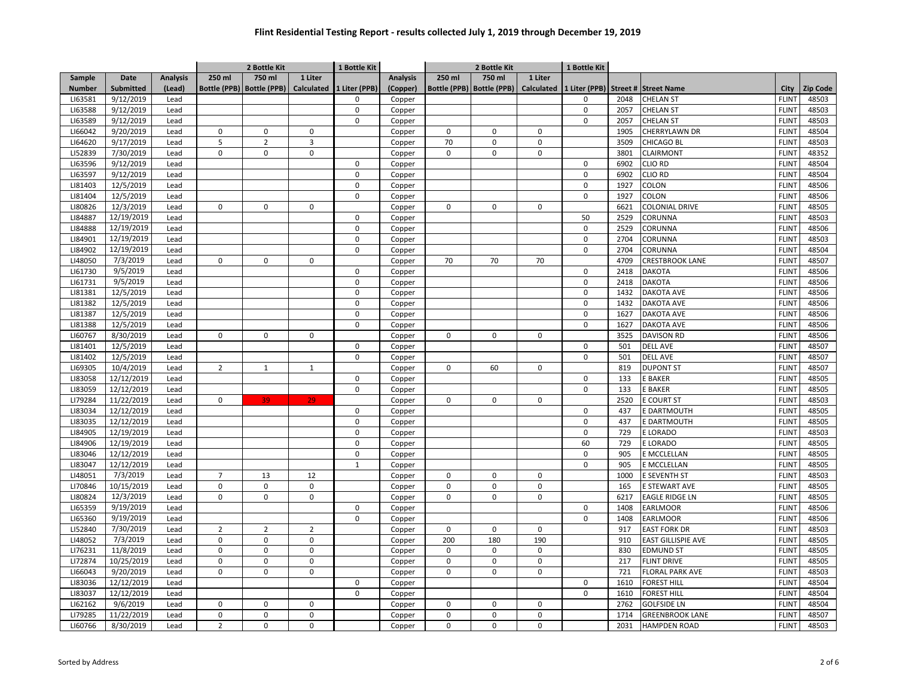|               |            |                 | 2 Bottle Kit   |                             |                | 1 Bottle Kit               |                 | 2 Bottle Kit |                             |             | 1 Bottle Kit               |      |                                               |              |                 |
|---------------|------------|-----------------|----------------|-----------------------------|----------------|----------------------------|-----------------|--------------|-----------------------------|-------------|----------------------------|------|-----------------------------------------------|--------------|-----------------|
| <b>Sample</b> | Date       | <b>Analysis</b> | 250 ml         | 750 ml                      | 1 Liter        |                            | <b>Analysis</b> | 250 ml       | 750 ml                      | 1 Liter     |                            |      |                                               |              |                 |
| <b>Number</b> | Submitted  | (Lead)          |                | Bottle (PPB)   Bottle (PPB) | Calculated     | 1 Liter (PPB)              | (Copper)        |              | Bottle (PPB)   Bottle (PPB) |             |                            |      | Calculated 1 Liter (PPB) Street # Street Name | City         | <b>Zip Code</b> |
| LI63581       | 9/12/2019  | Lead            |                |                             |                | $\Omega$                   | Copper          |              |                             |             | 0                          | 2048 | CHELAN ST                                     | <b>FLINT</b> | 48503           |
| LI63588       | 9/12/2019  | Lead            |                |                             |                | $\mathbf 0$                | Copper          |              |                             |             | $\Omega$                   | 2057 | CHELAN ST                                     | <b>FLINT</b> | 48503           |
| LI63589       | 9/12/2019  | Lead            |                |                             |                | $\mathbf 0$                | Copper          |              |                             |             | $\mathbf 0$                | 2057 | <b>CHELAN ST</b>                              | <b>FLINT</b> | 48503           |
| LI66042       | 9/20/2019  | Lead            | 0              | $\mathbf 0$                 | $\mathbf 0$    |                            | Copper          | 0            | 0                           | $\mathbf 0$ |                            | 1905 | CHERRYLAWN DR                                 | <b>FLINT</b> | 48504           |
| LI64620       | 9/17/2019  | Lead            | 5              | $\overline{2}$              | 3              |                            | Copper          | 70           | 0                           | $\mathsf 0$ |                            | 3509 | CHICAGO BL                                    | <b>FLINT</b> | 48503           |
| LI52839       | 7/30/2019  | Lead            | 0              | 0                           | $\pmb{0}$      |                            | Copper          | $\mathbf 0$  | 0                           | 0           |                            | 3801 | <b>CLAIRMONT</b>                              | <b>FLINT</b> | 48352           |
| LI63596       | 9/12/2019  | Lead            |                |                             |                | $\mathbf 0$                | Copper          |              |                             |             | $\mathbf 0$                | 6902 | CLIO RD                                       | <b>FLINT</b> | 48504           |
| LI63597       | 9/12/2019  | Lead            |                |                             |                | $\mathbf 0$                | Copper          |              |                             |             | $\Omega$                   | 6902 | CLIO RD                                       | <b>FLINT</b> | 48504           |
| LI81403       | 12/5/2019  | Lead            |                |                             |                | $\mathbf 0$                | Copper          |              |                             |             | $\mathbf 0$                | 1927 | COLON                                         | <b>FLINT</b> | 48506           |
| LI81404       | 12/5/2019  | Lead            |                |                             |                | $\mathsf 0$                | Copper          |              |                             |             | $\pmb{0}$                  | 1927 | COLON                                         | <b>FLINT</b> | 48506           |
| LI80826       | 12/3/2019  | Lead            | 0              | 0                           | 0              |                            | Copper          | 0            | $\Omega$                    | 0           |                            | 6621 | COLONIAL DRIVE                                | <b>FLINT</b> | 48505           |
| LI84887       | 12/19/2019 | Lead            |                |                             |                | $\mathbf 0$                | Copper          |              |                             |             | 50                         | 2529 | CORUNNA                                       | <b>FLINT</b> | 48503           |
| LI84888       | 12/19/2019 | Lead            |                |                             |                | $\mathbf 0$                | Copper          |              |                             |             | $\mathbf 0$                | 2529 | CORUNNA                                       | <b>FLINT</b> | 48506           |
| LI84901       | 12/19/2019 | Lead            |                |                             |                | $\mathbf 0$                | Copper          |              |                             |             | $\mathbf 0$                | 2704 | CORUNNA                                       | <b>FLINT</b> | 48503           |
| LI84902       | 12/19/2019 | Lead            |                |                             |                | $\pmb{0}$                  | Copper          |              |                             |             | $\pmb{0}$                  | 2704 | CORUNNA                                       | <b>FLINT</b> | 48504           |
| LI48050       | 7/3/2019   | Lead            | 0              | $\mathbf 0$                 | $\mathbf 0$    |                            | Copper          | 70           | 70                          | 70          |                            | 4709 | CRESTBROOK LANE                               | <b>FLINT</b> | 48507           |
| LI61730       | 9/5/2019   | Lead            |                |                             |                | $\mathsf 0$                | Copper          |              |                             |             | 0                          | 2418 | <b>DAKOTA</b>                                 | <b>FLINT</b> | 48506           |
| LI61731       | 9/5/2019   | Lead            |                |                             |                | $\mathbf 0$                | Copper          |              |                             |             | $\mathbf 0$                | 2418 | <b>DAKOTA</b>                                 | <b>FLINT</b> | 48506           |
| LI81381       | 12/5/2019  | Lead            |                |                             |                | $\mathbf 0$                | Copper          |              |                             |             | $\Omega$                   | 1432 | DAKOTA AVE                                    | <b>FLINT</b> | 48506           |
| LI81382       | 12/5/2019  | Lead            |                |                             |                | $\mathbf 0$                | Copper          |              |                             |             | $\mathbf 0$                | 1432 | <b>DAKOTA AVE</b>                             | <b>FLINT</b> | 48506           |
| LI81387       | 12/5/2019  | Lead            |                |                             |                | $\mathbf 0$                | Copper          |              |                             |             | $\pmb{0}$                  | 1627 | <b>DAKOTA AVE</b>                             | <b>FLINT</b> | 48506           |
| LI81388       | 12/5/2019  | Lead            |                |                             |                | $\pmb{0}$                  | Copper          |              |                             |             | $\pmb{0}$                  | 1627 | <b>DAKOTA AVE</b>                             | <b>FLINT</b> | 48506           |
|               | 8/30/2019  |                 | $\Omega$       |                             |                |                            |                 |              |                             |             |                            |      |                                               |              |                 |
| LI60767       | 12/5/2019  | Lead            |                | 0                           | $\pmb{0}$      |                            | Copper          | 0            | 0                           | 0           |                            | 3525 | <b>DAVISON RD</b>                             | <b>FLINT</b> | 48506           |
| LI81401       |            | Lead            |                |                             |                | $\mathbf 0$<br>$\mathbf 0$ | Copper          |              |                             |             | $\mathbf 0$<br>$\mathbf 0$ | 501  | <b>DELL AVE</b>                               | <b>FLINT</b> | 48507           |
| LI81402       | 12/5/2019  | Lead            |                |                             |                |                            | Copper          |              |                             |             |                            | 501  | <b>DELL AVE</b>                               | <b>FLINT</b> | 48507           |
| LI69305       | 10/4/2019  | Lead            | $\overline{2}$ | $\mathbf{1}$                | $1\,$          |                            | Copper          | $\mathbf 0$  | 60                          | 0           |                            | 819  | <b>DUPONT ST</b>                              | <b>FLINT</b> | 48507           |
| LI83058       | 12/12/2019 | Lead            |                |                             |                | $\mathsf 0$                | Copper          |              |                             |             | $\pmb{0}$                  | 133  | E BAKER                                       | <b>FLINT</b> | 48505           |
| LI83059       | 12/12/2019 | Lead            |                |                             |                | $\mathbf 0$                | Copper          |              |                             |             | $\mathbf 0$                | 133  | <b>BAKER</b>                                  | <b>FLINT</b> | 48505           |
| LI79284       | 11/22/2019 | Lead            | 0              | 39                          | 29             |                            | Copper          | $\mathbf 0$  | 0                           | 0           |                            | 2520 | <b>COURT ST</b>                               | <b>FLINT</b> | 48503           |
| LI83034       | 12/12/2019 | Lead            |                |                             |                | $\mathbf 0$                | Copper          |              |                             |             | $\pmb{0}$                  | 437  | <b>DARTMOUTH</b>                              | <b>FLINT</b> | 48505           |
| LI83035       | 12/12/2019 | Lead            |                |                             |                | $\mathbf 0$                | Copper          |              |                             |             | $\Omega$                   | 437  | <b>DARTMOUTH</b>                              | <b>FLINT</b> | 48505           |
| LI84905       | 12/19/2019 | Lead            |                |                             |                | $\pmb{0}$                  | Copper          |              |                             |             | 0                          | 729  | <b>LORADO</b>                                 | <b>FLINT</b> | 48503           |
| LI84906       | 12/19/2019 | Lead            |                |                             |                | $\mathbf 0$                | Copper          |              |                             |             | 60                         | 729  | E LORADO                                      | <b>FLINT</b> | 48505           |
| LI83046       | 12/12/2019 | Lead            |                |                             |                | $\mathbf 0$                | Copper          |              |                             |             | $\pmb{0}$                  | 905  | <b>MCCLELLAN</b>                              | <b>FLINT</b> | 48505           |
| LI83047       | 12/12/2019 | Lead            |                |                             |                | $\overline{1}$             | Copper          |              |                             |             | $\Omega$                   | 905  | E MCCLELLAN                                   | <b>FLINT</b> | 48505           |
| LI48051       | 7/3/2019   | Lead            | $\overline{7}$ | 13                          | 12             |                            | Copper          | $\mathbf 0$  | $\Omega$                    | $\mathsf 0$ |                            | 1000 | E SEVENTH ST                                  | <b>FLINT</b> | 48503           |
| LI70846       | 10/15/2019 | Lead            | $\mathbf 0$    | 0                           | $\pmb{0}$      |                            | Copper          | $\pmb{0}$    | 0                           | $\mathsf 0$ |                            | 165  | E STEWART AVE                                 | <b>FLINT</b> | 48505           |
| LI80824       | 12/3/2019  | Lead            | 0              | 0                           | $\pmb{0}$      |                            | Copper          | 0            | 0                           | 0           |                            | 6217 | <b>EAGLE RIDGE LN</b>                         | <b>FLINT</b> | 48505           |
| LI65359       | 9/19/2019  | Lead            |                |                             |                | $\mathbf 0$                | Copper          |              |                             |             | $\mathbf 0$                | 1408 | EARLMOOR                                      | <b>FLINT</b> | 48506           |
| LI65360       | 9/19/2019  | Lead            |                |                             |                | $\mathbf 0$                | Copper          |              |                             |             | $\mathbf 0$                | 1408 | EARLMOOR                                      | <b>FLINT</b> | 48506           |
| LI52840       | 7/30/2019  | Lead            | $\overline{2}$ | $\overline{2}$              | $\overline{2}$ |                            | Copper          | $\mathbf 0$  | 0                           | $\mathsf 0$ |                            | 917  | <b>EAST FORK DR</b>                           | <b>FLINT</b> | 48503           |
| LI48052       | 7/3/2019   | Lead            | $\mathsf 0$    | $\mathbf 0$                 | $\mathsf 0$    |                            | Copper          | 200          | 180                         | 190         |                            | 910  | EAST GILLISPIE AVE                            | <b>FLINT</b> | 48505           |
| LI76231       | 11/8/2019  | Lead            | 0              | $\Omega$                    | $\mathbf 0$    |                            | Copper          | $\mathbf 0$  | 0                           | $\mathbf 0$ |                            | 830  | <b>EDMUND ST</b>                              | <b>FLINT</b> | 48505           |
| LI72874       | 10/25/2019 | Lead            | 0              | $\mathbf 0$                 | $\mathbf 0$    |                            | Copper          | $\mathbf 0$  | 0                           | $\mathsf 0$ |                            | 217  | <b>FLINT DRIVE</b>                            | <b>FLINT</b> | 48505           |
| LI66043       | 9/20/2019  | Lead            | 0              | $\mathbf 0$                 | $\mathbf 0$    |                            | Copper          | $\mathbf 0$  | $\mathbf 0$                 | 0           |                            | 721  | <b>FLORAL PARK AVE</b>                        | <b>FLINT</b> | 48503           |
| LI83036       | 12/12/2019 | Lead            |                |                             |                | $\mathbf 0$                | Copper          |              |                             |             | $\pmb{0}$                  | 1610 | FOREST HILL                                   | <b>FLINT</b> | 48504           |
| LI83037       | 12/12/2019 | Lead            |                |                             |                | $\mathbf 0$                | Copper          |              |                             |             | $\mathbf 0$                | 1610 | <b>FOREST HILL</b>                            | <b>FLINT</b> | 48504           |
| LI62162       | 9/6/2019   | Lead            | $\mathbf 0$    | $\mathbf 0$                 | $\mathsf 0$    |                            | Copper          | $\mathbf 0$  | $\mathbf 0$                 | $\mathsf 0$ |                            | 2762 | <b>GOLFSIDE LN</b>                            | <b>FLINT</b> | 48504           |
| LI79285       | 11/22/2019 | Lead            | 0              | 0                           | $\pmb{0}$      |                            | Copper          | 0            | 0                           | 0           |                            | 1714 | <b>GREENBROOK LANE</b>                        | <b>FLINT</b> | 48507           |
|               |            |                 |                |                             |                |                            |                 | 0            |                             |             |                            |      |                                               |              |                 |
| LI60766       | 8/30/2019  | Lead            | $\overline{2}$ | 0                           | $\pmb{0}$      |                            | Copper          |              | 0                           | 0           |                            | 2031 | <b>HAMPDEN ROAD</b>                           | <b>FLINT</b> | 48503           |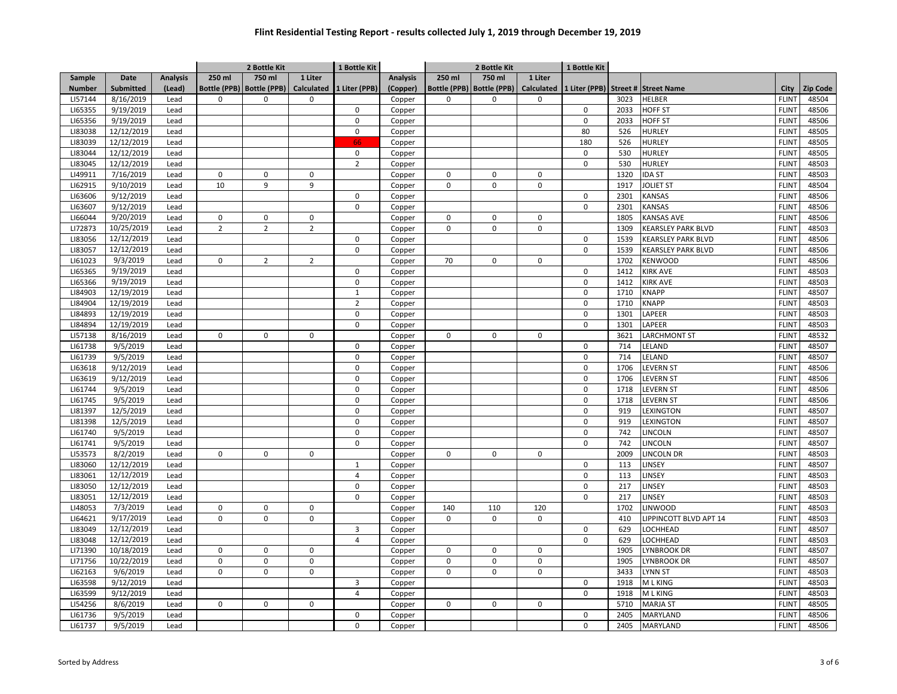|                    |                          |                 | 2 Bottle Kit   |                             |                | 1 Bottle Kit   |                 | 2 Bottle Kit |                             |             | 1 Bottle Kit                                  |      |                        |              |                 |
|--------------------|--------------------------|-----------------|----------------|-----------------------------|----------------|----------------|-----------------|--------------|-----------------------------|-------------|-----------------------------------------------|------|------------------------|--------------|-----------------|
| <b>Sample</b>      | Date                     | <b>Analysis</b> | 250 ml         | 750 ml                      | 1 Liter        |                | <b>Analysis</b> | 250 ml       | 750 ml                      | 1 Liter     |                                               |      |                        |              |                 |
| <b>Number</b>      | Submitted                | (Lead)          |                | Bottle (PPB)   Bottle (PPB) | Calculated     | 1 Liter (PPB)  | (Copper)        |              | Bottle (PPB)   Bottle (PPB) |             | Calculated 1 Liter (PPB) Street # Street Name |      |                        | City         | <b>Zip Code</b> |
| LI57144            | 8/16/2019                | Lead            | 0              | 0                           | $\mathbf 0$    |                | Copper          | 0            | 0                           | 0           |                                               | 3023 | <b>HELBER</b>          | <b>FLINT</b> | 48504           |
| LI65355            | 9/19/2019                | Lead            |                |                             |                | 0              | Copper          |              |                             |             | 0                                             | 2033 | HOFF ST                | <b>FLINT</b> | 48506           |
| LI65356            | 9/19/2019                | Lead            |                |                             |                | $\mathbf 0$    | Copper          |              |                             |             | $\mathbf 0$                                   | 2033 | <b>HOFF ST</b>         | <b>FLINT</b> | 48506           |
| LI83038            | 12/12/2019               | Lead            |                |                             |                | $\Omega$       | Copper          |              |                             |             | 80                                            | 526  | HURLEY                 | <b>FLINT</b> | 48505           |
| LI83039            | 12/12/2019               | Lead            |                |                             |                | 66             | Copper          |              |                             |             | 180                                           | 526  | <b>HURLEY</b>          | <b>FLINT</b> | 48505           |
| LI83044            | 12/12/2019               | Lead            |                |                             |                | $\mathsf 0$    | Copper          |              |                             |             | $\mathbf 0$                                   | 530  | HURLEY                 | <b>FLINT</b> | 48505           |
| LI83045            | 12/12/2019               | Lead            |                |                             |                | $\overline{2}$ | Copper          |              |                             |             | $\mathbf 0$                                   | 530  | HURLEY                 | <b>FLINT</b> | 48503           |
| LI49911            | 7/16/2019                | Lead            | $\mathbf 0$    | 0                           | $\mathsf 0$    |                | Copper          | $\mathbf 0$  | 0                           | $\mathsf 0$ |                                               | 1320 | <b>IDA ST</b>          | <b>FLINT</b> | 48503           |
| LI62915            | 9/10/2019                | Lead            | 10             | 9                           | 9              |                | Copper          | $\mathbf 0$  | $\mathbf 0$                 | $\mathsf 0$ |                                               | 1917 | <b>JOLIET ST</b>       | <b>FLINT</b> | 48504           |
| LI63606            | 9/12/2019                | Lead            |                |                             |                | $\mathsf 0$    | Copper          |              |                             |             | $\mathsf 0$                                   | 2301 | KANSAS                 | <b>FLINT</b> | 48506           |
| LI63607            | 9/12/2019                | Lead            |                |                             |                | $\mathbf 0$    | Copper          |              |                             |             | $\mathbf 0$                                   | 2301 | KANSAS                 | <b>FLINT</b> | 48506           |
| LI66044            | 9/20/2019                | Lead            | 0              | $\Omega$                    | 0              |                | Copper          | $\Omega$     | $\Omega$                    | 0           |                                               | 1805 | KANSAS AVE             | <b>FLINT</b> | 48506           |
| LI72873            | 10/25/2019               | Lead            | $\overline{2}$ | $\overline{2}$              | $\overline{2}$ |                | Copper          | $\mathbf 0$  | $\Omega$                    | $\mathbf 0$ |                                               | 1309 | KEARSLEY PARK BLVD     | <b>FLINT</b> | 48503           |
| LI83056            | 12/12/2019               | Lead            |                |                             |                | $\mathbf 0$    | Copper          |              |                             |             | $\pmb{0}$                                     | 1539 | KEARSLEY PARK BLVD     | <b>FLINT</b> | 48506           |
| LI83057            | 12/12/2019               | Lead            |                |                             |                | $\pmb{0}$      | Copper          |              |                             |             | $\mathbf 0$                                   | 1539 | KEARSLEY PARK BLVD     | <b>FLINT</b> | 48506           |
| LI61023            | 9/3/2019                 | Lead            | 0              | $\overline{2}$              | $\overline{2}$ |                | Copper          | 70           | 0                           | 0           |                                               | 1702 | KENWOOD                | <b>FLINT</b> | 48506           |
| LI65365            | 9/19/2019                | Lead            |                |                             |                | $\mathbf 0$    | Copper          |              |                             |             | $\mathbf 0$                                   | 1412 | KIRK AVE               | <b>FLINT</b> | 48503           |
| LI65366            | 9/19/2019                | Lead            |                |                             |                | $\mathbf 0$    | Copper          |              |                             |             | $\mathbf 0$                                   | 1412 | KIRK AVE               | <b>FLINT</b> | 48503           |
| LI84903            | 12/19/2019               | Lead            |                |                             |                | $1\,$          | Copper          |              |                             |             | $\Omega$                                      | 1710 | KNAPP                  | <b>FLINT</b> | 48507           |
| LI84904            | 12/19/2019               | Lead            |                |                             |                | $\overline{2}$ |                 |              |                             |             | $\pmb{0}$                                     | 1710 | KNAPP                  | <b>FLINT</b> | 48503           |
|                    |                          |                 |                |                             |                | $\mathbf 0$    | Copper          |              |                             |             | $\mathbf 0$                                   | 1301 |                        | <b>FLINT</b> | 48503           |
| LI84893<br>LI84894 | 12/19/2019<br>12/19/2019 | Lead            |                |                             |                | $\pmb{0}$      | Copper          |              |                             |             | $\mathbf 0$                                   |      | LAPEER<br>LAPEER       | <b>FLINT</b> | 48503           |
|                    |                          | Lead            |                |                             |                |                | Copper          |              |                             |             |                                               | 1301 |                        |              |                 |
| LI57138            | 8/16/2019                | Lead            | 0              | $\mathbf 0$                 | $\mathbf 0$    |                | Copper          | $\mathbf 0$  | $\mathbf 0$                 | 0           |                                               | 3621 | LARCHMONT ST           | <b>FLINT</b> | 48532           |
| LI61738            | 9/5/2019                 | Lead            |                |                             |                | $\mathbf 0$    | Copper          |              |                             |             | $\pmb{0}$                                     | 714  | <b>ELAND</b>           | <b>FLINT</b> | 48507           |
| LI61739            | 9/5/2019                 | Lead            |                |                             |                | $\pmb{0}$      | Copper          |              |                             |             | $\mathbf 0$                                   | 714  | LELAND                 | <b>FLINT</b> | 48507           |
| LI63618            | 9/12/2019                | Lead            |                |                             |                | $\mathbf 0$    | Copper          |              |                             |             | 0                                             | 1706 | LEVERN ST              | <b>FLINT</b> | 48506           |
| LI63619            | 9/12/2019                | Lead            |                |                             |                | $\mathbf 0$    | Copper          |              |                             |             | $\mathbf 0$                                   | 1706 | LEVERN ST              | <b>FLINT</b> | 48506           |
| LI61744            | 9/5/2019                 | Lead            |                |                             |                | $\mathbf 0$    | Copper          |              |                             |             | 0                                             | 1718 | <b>LEVERN ST</b>       | <b>FLINT</b> | 48506           |
| LI61745            | 9/5/2019                 | Lead            |                |                             |                | $\mathbf 0$    | Copper          |              |                             |             | $\Omega$                                      | 1718 | LEVERN ST              | <b>FLINT</b> | 48506           |
| LI81397            | 12/5/2019                | Lead            |                |                             |                | $\mathbf 0$    | Copper          |              |                             |             | $\Omega$                                      | 919  | LEXINGTON              | <b>FLINT</b> | 48507           |
| LI81398            | 12/5/2019                | Lead            |                |                             |                | $\mathbf 0$    | Copper          |              |                             |             | $\pmb{0}$                                     | 919  | LEXINGTON              | <b>FLINT</b> | 48507           |
| LI61740            | 9/5/2019                 | Lead            |                |                             |                | $\mathbf 0$    | Copper          |              |                             |             | $\pmb{0}$                                     | 742  | LINCOLN                | <b>FLINT</b> | 48507           |
| LI61741            | 9/5/2019                 | Lead            |                |                             |                | $\mathbf 0$    | Copper          |              |                             |             | $\mathbf 0$                                   | 742  | LINCOLN                | <b>FLINT</b> | 48507           |
| LI53573            | 8/2/2019                 | Lead            | 0              | $\Omega$                    | $\mathbf 0$    |                | Copper          | $\Omega$     | $\Omega$                    | 0           |                                               | 2009 | LINCOLN DR             | <b>FLINT</b> | 48503           |
| LI83060            | 12/12/2019               | Lead            |                |                             |                | $1\,$          | Copper          |              |                             |             | $\mathbf 0$                                   | 113  | LINSEY                 | <b>FLINT</b> | 48507           |
| LI83061            | 12/12/2019               | Lead            |                |                             |                | $\overline{4}$ | Copper          |              |                             |             | $\mathbf 0$                                   | 113  | LINSEY                 | <b>FLINT</b> | 48503           |
| LI83050            | 12/12/2019               | Lead            |                |                             |                | $\mathbf 0$    | Copper          |              |                             |             | $\pmb{0}$                                     | 217  | LINSEY                 | <b>FLINT</b> | 48503           |
| LI83051            | 12/12/2019               | Lead            |                |                             |                | $\mathbf 0$    | Copper          |              |                             |             | $\mathbf 0$                                   | 217  | LINSEY                 | <b>FLINT</b> | 48503           |
| LI48053            | 7/3/2019                 | Lead            | 0              | $\Omega$                    | $\pmb{0}$      |                | Copper          | 140          | 110                         | 120         |                                               | 1702 | <b>LINWOOD</b>         | <b>FLINT</b> | 48503           |
| LI64621            | 9/17/2019                | Lead            | 0              | $\Omega$                    | $\mathbf 0$    |                | Copper          | $\mathbf 0$  | $\Omega$                    | 0           |                                               | 410  | LIPPINCOTT BLVD APT 14 | <b>FLINT</b> | 48503           |
| LI83049            | 12/12/2019               | Lead            |                |                             |                | $\mathbf{3}$   | Copper          |              |                             |             | $\pmb{0}$                                     | 629  | LOCHHEAD               | <b>FLINT</b> | 48507           |
| LI83048            | 12/12/2019               | Lead            |                |                             |                | $\overline{4}$ | Copper          |              |                             |             | $\mathbf 0$                                   | 629  | <b>LOCHHEAD</b>        | <b>FLINT</b> | 48503           |
| LI71390            | 10/18/2019               | Lead            | $\mathbf 0$    | $\mathbf 0$                 | $\mathsf 0$    |                | Copper          | $\mathbf 0$  | $\mathbf 0$                 | $\mathsf 0$ |                                               | 1905 | <b>LYNBROOK DR</b>     | <b>FLINT</b> | 48507           |
| LI71756            | 10/22/2019               | Lead            | 0              | 0                           | $\pmb{0}$      |                | Copper          | $\mathbf 0$  | $\mathbf 0$                 | 0           |                                               | 1905 | LYNBROOK DR            | <b>FLINT</b> | 48507           |
| LI62163            | 9/6/2019                 | Lead            | 0              | $\mathbf 0$                 | $\mathbf 0$    |                | Copper          | $\mathbf 0$  | $\mathbf 0$                 | 0           |                                               | 3433 | LYNN ST                | <b>FLINT</b> | 48503           |
| LI63598            | 9/12/2019                | Lead            |                |                             |                | 3              | Copper          |              |                             |             | $\mathbf 0$                                   | 1918 | M L KING               | <b>FLINT</b> | 48503           |
| LI63599            | 9/12/2019                | Lead            |                |                             |                | $\overline{4}$ | Copper          |              |                             |             | $\mathbf 0$                                   | 1918 | M L KING               | <b>FLINT</b> | 48503           |
| LI54256            | 8/6/2019                 | Lead            | $\mathbf 0$    | $\mathbf 0$                 | $\mathbf 0$    |                | Copper          | 0            | $\mathbf 0$                 | $\mathbf 0$ |                                               | 5710 | <b>MARJA ST</b>        | <b>FLINT</b> | 48505           |
| LI61736            | 9/5/2019                 | Lead            |                |                             |                | $\mathsf 0$    | Copper          |              |                             |             | $\pmb{0}$                                     | 2405 | MARYLAND               | <b>FLINT</b> | 48506           |
| LI61737            | 9/5/2019                 | Lead            |                |                             |                | $\mathbf 0$    | Copper          |              |                             |             | $\Omega$                                      | 2405 | MARYLAND               | <b>FLINT</b> | 48506           |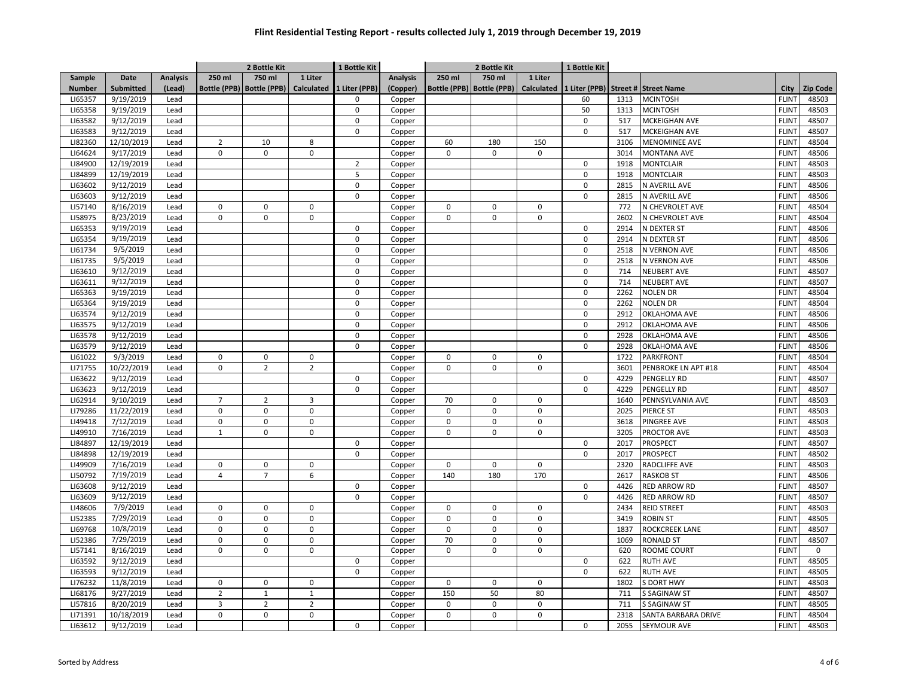|                    |            |                 | 2 Bottle Kit   |                               |                | 1 Bottle Kit   |                  | 2 Bottle Kit |                             |             | 1 Bottle Kit |              |                                               |                              |                 |
|--------------------|------------|-----------------|----------------|-------------------------------|----------------|----------------|------------------|--------------|-----------------------------|-------------|--------------|--------------|-----------------------------------------------|------------------------------|-----------------|
| <b>Sample</b>      | Date       | <b>Analysis</b> | 250 ml         | 750 ml                        | 1 Liter        |                | <b>Analysis</b>  | 250 ml       | 750 ml                      | 1 Liter     |              |              |                                               |                              |                 |
| <b>Number</b>      | Submitted  | (Lead)          |                | Bottle (PPB)   Bottle (PPB)   | Calculated     | 1 Liter (PPB)  | (Copper)         |              | Bottle (PPB)   Bottle (PPB) |             |              |              | Calculated 1 Liter (PPB) Street # Street Name | City                         | <b>Zip Code</b> |
| LI65357            | 9/19/2019  | Lead            |                |                               |                | $\Omega$       | Copper           |              |                             |             | 60           | 1313         | <b>MCINTOSH</b>                               | <b>FLINT</b>                 | 48503           |
| LI65358            | 9/19/2019  | Lead            |                |                               |                | $\mathbf 0$    | Copper           |              |                             |             | 50           | 1313         | <b>MCINTOSH</b>                               | <b>FLINT</b>                 | 48503           |
| LI63582            | 9/12/2019  | Lead            |                |                               |                | $\mathbf 0$    | Copper           |              |                             |             | $\pmb{0}$    | 517          | MCKEIGHAN AVE                                 | <b>FLINT</b>                 | 48507           |
| LI63583            | 9/12/2019  | Lead            |                |                               |                | $\mathbf 0$    | Copper           |              |                             |             | $\mathbf 0$  | 517          | MCKEIGHAN AVE                                 | <b>FLINT</b>                 | 48507           |
| LI82360            | 12/10/2019 | Lead            | $\overline{2}$ | 10                            | 8              |                | Copper           | 60           | 180                         | 150         |              | 3106         | <b>MENOMINEE AVE</b>                          | <b>FLINT</b>                 | 48504           |
| LI64624            | 9/17/2019  | Lead            | 0              | $\mathbf 0$                   | $\mathbf 0$    |                | Copper           | $\mathbf 0$  | $\mathbf 0$                 | 0           |              | 3014         | <b>MONTANA AVE</b>                            | <b>FLINT</b>                 | 48506           |
| LI84900            | 12/19/2019 | Lead            |                |                               |                | $\overline{2}$ | Copper           |              |                             |             | $\mathbf 0$  | 1918         | <b>MONTCLAIR</b>                              | <b>FLINT</b>                 | 48503           |
| LI84899            | 12/19/2019 | Lead            |                |                               |                | 5              | Copper           |              |                             |             | $\Omega$     | 1918         | <b>MONTCLAIR</b>                              | <b>FLINT</b>                 | 48503           |
| LI63602            | 9/12/2019  | Lead            |                |                               |                | $\mathbf 0$    | Copper           |              |                             |             | $\mathbf 0$  | 2815         | N AVERILL AVE                                 | <b>FLINT</b>                 | 48506           |
| LI63603            | 9/12/2019  | Lead            |                |                               |                | $\mathsf 0$    | Copper           |              |                             |             | $\pmb{0}$    | 2815         | N AVERILL AVE                                 | <b>FLINT</b>                 | 48506           |
| LI57140            | 8/16/2019  | Lead            | 0              | $\mathbf 0$                   | $\pmb{0}$      |                | Copper           | 0            | 0                           | 0           |              | 772          | N CHEVROLET AVE                               | <b>FLINT</b>                 | 48504           |
| LI58975            | 8/23/2019  | Lead            | $\Omega$       | $\Omega$                      | $\mathbf 0$    |                | Copper           | <sup>0</sup> | $\mathbf 0$                 | 0           |              | 2602         | N CHEVROLET AVE                               | <b>FLINT</b>                 | 48504           |
| LI65353            | 9/19/2019  | Lead            |                |                               |                | $\mathbf 0$    | Copper           |              |                             |             | $\mathbf 0$  | 2914         | N DEXTER ST                                   | <b>FLINT</b>                 | 48506           |
| LI65354            | 9/19/2019  | Lead            |                |                               |                | $\mathbf 0$    | Copper           |              |                             |             | $\mathbf 0$  | 2914         | N DEXTER ST                                   | <b>FLINT</b>                 | 48506           |
| LI61734            | 9/5/2019   | Lead            |                |                               |                | $\mathbf 0$    | Copper           |              |                             |             | $\pmb{0}$    | 2518         | N VERNON AVE                                  | <b>FLINT</b>                 | 48506           |
| LI61735            | 9/5/2019   | Lead            |                |                               |                | $\mathbf 0$    | Copper           |              |                             |             | $\mathbf 0$  | 2518         | <b>N VERNON AVE</b>                           | <b>FLINT</b>                 | 48506           |
| LI63610            | 9/12/2019  | Lead            |                |                               |                | $\mathbf 0$    | Copper           |              |                             |             | $\mathbf 0$  | 714          | <b>NEUBERT AVE</b>                            | <b>FLINT</b>                 | 48507           |
| LI63611            | 9/12/2019  | Lead            |                |                               |                | $\mathbf 0$    | Copper           |              |                             |             | $\mathbf 0$  | 714          | <b>NEUBERT AVE</b>                            | <b>FLINT</b>                 | 48507           |
| LI65363            | 9/19/2019  | Lead            |                |                               |                | $\mathbf 0$    | Copper           |              |                             |             | $\Omega$     | 2262         | <b>NOLEN DR</b>                               | <b>FLINT</b>                 | 48504           |
| LI65364            | 9/19/2019  | Lead            |                |                               |                | $\mathbf 0$    | Copper           |              |                             |             | $\mathbf 0$  | 2262         | NOLEN DR                                      | <b>FLINT</b>                 | 48504           |
| LI63574            | 9/12/2019  | Lead            |                |                               |                | $\mathbf 0$    | Copper           |              |                             |             | $\pmb{0}$    | 2912         | <b>OKLAHOMA AVE</b>                           | <b>FLINT</b>                 | 48506           |
| LI63575            | 9/12/2019  | Lead            |                |                               |                | $\mathbf 0$    | Copper           |              |                             |             | $\pmb{0}$    | 2912         | OKLAHOMA AVE                                  | <b>FLINT</b>                 | 48506           |
| LI63578            | 9/12/2019  | Lead            |                |                               |                | $\mathbf 0$    |                  |              |                             |             | $\pmb{0}$    | 2928         | <b>OKLAHOMA AVE</b>                           | <b>FLINT</b>                 | 48506           |
| LI63579            | 9/12/2019  | Lead            |                |                               |                | $\mathbf 0$    | Copper<br>Copper |              |                             |             | $\mathbf 0$  | 2928         | OKLAHOMA AVE                                  | <b>FLINT</b>                 | 48506           |
| LI61022            | 9/3/2019   | Lead            | $\mathsf 0$    | $\mathbf 0$                   | $\mathsf 0$    |                | Copper           | $\mathsf 0$  | $\mathbf 0$                 | $\mathsf 0$ |              | 1722         | PARKFRONT                                     | <b>FLINT</b>                 | 48504           |
| LI71755            | 10/22/2019 | Lead            | 0              | $\overline{2}$                | $\overline{2}$ |                | Copper           | 0            | $\mathbf 0$                 | $\mathsf 0$ |              | 3601         | PENBROKE LN APT #18                           | <b>FLINT</b>                 | 48504           |
| LI63622            | 9/12/2019  | Lead            |                |                               |                | 0              | Copper           |              |                             |             | 0            | 4229         | PENGELLY RD                                   | <b>FLINT</b>                 | 48507           |
| LI63623            | 9/12/2019  | Lead            |                |                               |                | $\mathbf 0$    | Copper           |              |                             |             | $\mathbf 0$  | 4229         | PENGELLY RD                                   | <b>FLINT</b>                 | 48507           |
| LI62914            | 9/10/2019  | Lead            | $\overline{7}$ | $\overline{2}$                | 3              |                | Copper           | 70           | $\Omega$                    | 0           |              | 1640         | PENNSYLVANIA AVE                              | <b>FLINT</b>                 | 48503           |
| LI79286            | 11/22/2019 |                 | 0              | $\mathbf 0$                   | $\mathsf 0$    |                |                  | $\mathbf 0$  | $\mathbf 0$                 | $\mathsf 0$ |              | 2025         | PIERCE ST                                     | <b>FLINT</b>                 | 48503           |
|                    |            | Lead            | $\mathbf 0$    |                               |                |                | Copper           | $\mathbf 0$  | $\Omega$                    |             |              |              |                                               |                              |                 |
| LI49418            | 7/12/2019  | Lead            |                | $\mathbf 0$                   | $\pmb{0}$      |                | Copper           | $\mathbf 0$  |                             | $\mathsf 0$ |              | 3618         | PINGREE AVE                                   | <b>FLINT</b><br><b>FLINT</b> | 48503<br>48503  |
| LI49910<br>LI84897 | 7/16/2019  | Lead            | 1              | 0                             | 0              | $\mathbf 0$    | Copper           |              | 0                           | $\mathbf 0$ | $\pmb{0}$    | 3205<br>2017 | PROCTOR AVE                                   | <b>FLINT</b>                 | 48507           |
|                    | 12/19/2019 | Lead            |                |                               |                | $\Omega$       | Copper           |              |                             |             |              |              | PROSPECT                                      |                              |                 |
| LI84898            | 12/19/2019 | Lead            |                |                               |                |                | Copper           |              | $\Omega$                    |             | $\mathbf 0$  | 2017         | PROSPECT                                      | <b>FLINT</b>                 | 48502           |
| LI49909            | 7/16/2019  | Lead            | 0              | $\mathbf 0$<br>$\overline{7}$ | $\mathbf 0$    |                | Copper           | $\mathbf 0$  | 180                         | $\mathbf 0$ |              | 2320         | RADCLIFFE AVE                                 | <b>FLINT</b>                 | 48503           |
| LI50792            | 7/19/2019  | Lead            | 4              |                               | 6              |                | Copper           | 140          |                             | 170         |              | 2617         | <b>RASKOB ST</b>                              | <b>FLINT</b>                 | 48506           |
| LI63608            | 9/12/2019  | Lead            |                |                               |                | $\mathbf 0$    | Copper           |              |                             |             | $\pmb{0}$    | 4426         | <b>RED ARROW RD</b>                           | <b>FLINT</b>                 | 48507           |
| LI63609            | 9/12/2019  | Lead            |                |                               |                | $\mathbf 0$    | Copper           |              |                             |             | $\pmb{0}$    | 4426         | RED ARROW RD                                  | <b>FLINT</b>                 | 48507           |
| LI48606            | 7/9/2019   | Lead            | 0              | $\mathbf 0$                   | $\mathbf 0$    |                | Copper           | $\mathbf 0$  | 0                           | $\mathbf 0$ |              | 2434         | <b>REID STREET</b>                            | <b>FLINT</b>                 | 48503           |
| LI52385            | 7/29/2019  | Lead            | 0              | $\Omega$                      | $\mathbf 0$    |                | Copper           | $\mathbf 0$  | $\Omega$                    | $\mathbf 0$ |              | 3419         | ROBIN ST                                      | <b>FLINT</b>                 | 48505           |
| LI69768            | 10/8/2019  | Lead            | 0              | $\Omega$                      | $\pmb{0}$      |                | Copper           | $\mathbf 0$  | $\Omega$                    | $\mathsf 0$ |              | 1837         | ROCKCREEK LANE                                | <b>FLINT</b>                 | 48507           |
| LI52386            | 7/29/2019  | Lead            | 0              | $\mathbf 0$                   | $\pmb{0}$      |                | Copper           | 70           | 0                           | $\mathsf 0$ |              | 1069         | <b>RONALD ST</b>                              | <b>FLINT</b>                 | 48507           |
| LI57141            | 8/16/2019  | Lead            | 0              | $\mathbf 0$                   | $\mathbf 0$    |                | Copper           | $\mathbf 0$  | $\mathbf 0$                 | $\mathbf 0$ |              | 620          | ROOME COURT                                   | <b>FLINT</b>                 | $\mathbf 0$     |
| LI63592            | 9/12/2019  | Lead            |                |                               |                | $\mathbf 0$    | Copper           |              |                             |             | $\mathbf 0$  | 622          | <b>RUTH AVE</b>                               | <b>FLINT</b>                 | 48505           |
| LI63593            | 9/12/2019  | Lead            |                |                               |                | $\mathbf 0$    | Copper           |              |                             |             | $\mathbf 0$  | 622          | <b>RUTH AVE</b>                               | <b>FLINT</b>                 | 48505           |
| LI76232            | 11/8/2019  | Lead            | 0              | $\Omega$                      | $\pmb{0}$      |                | Copper           | 0            | $\Omega$                    | 0           |              | 1802         | <b>DORT HWY</b>                               | <b>FLINT</b>                 | 48503           |
| LI68176            | 9/27/2019  | Lead            | $\overline{2}$ | $\mathbf{1}$                  | $\mathbf{1}$   |                | Copper           | 150          | 50                          | 80          |              | 711          | S SAGINAW ST                                  | <b>FLINT</b>                 | 48507           |
| LI57816            | 8/20/2019  | Lead            | 3              | $\overline{2}$                | $\overline{2}$ |                | Copper           | $\mathbf 0$  | 0                           | $\mathsf 0$ |              | 711          | <b>SAGINAW ST</b>                             | <b>FLINT</b>                 | 48505           |
| LI71391            | 10/18/2019 | Lead            | 0              | 0                             | 0              |                | Copper           | 0            | 0                           | 0           |              | 2318         | SANTA BARBARA DRIVE                           | <b>FLINT</b>                 | 48504           |
| LI63612            | 9/12/2019  | Lead            |                |                               |                | $\mathbf 0$    | Copper           |              |                             |             | 0            | 2055         | SEYMOUR AVE                                   | <b>FLINT</b>                 | 48503           |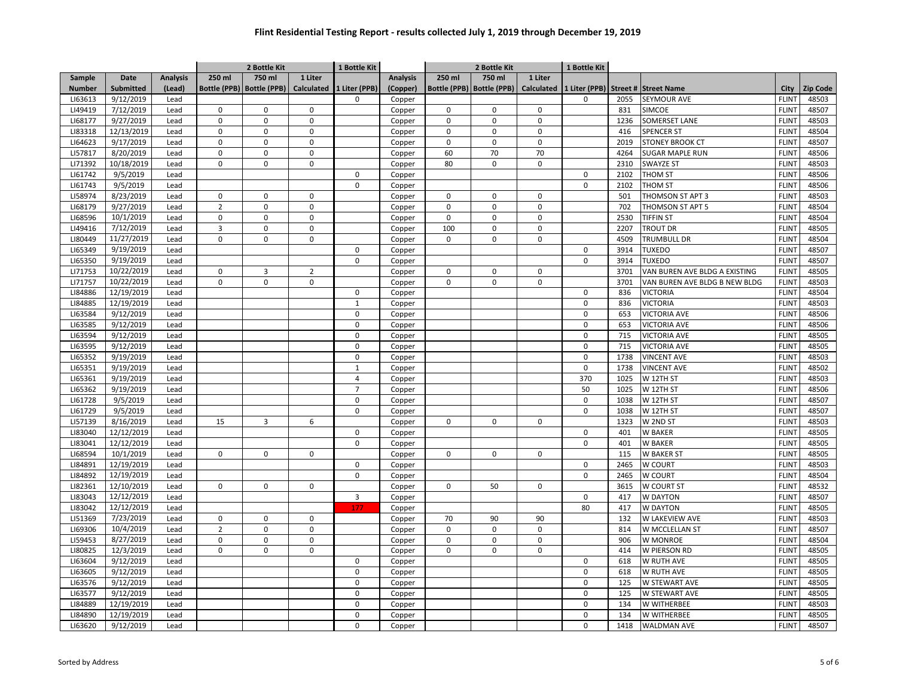|                    |                        |                 | 2 Bottle Kit   |                             |                            | 1 Bottle Kit          |                  | 2 Bottle Kit |                             |                            | 1 Bottle Kit          |      |                                    |                              |                 |
|--------------------|------------------------|-----------------|----------------|-----------------------------|----------------------------|-----------------------|------------------|--------------|-----------------------------|----------------------------|-----------------------|------|------------------------------------|------------------------------|-----------------|
| Sample             | Date                   | <b>Analysis</b> | 250 ml         | 750 ml                      | 1 Liter                    |                       | <b>Analysis</b>  | 250 ml       | 750 ml                      | 1 Liter                    |                       |      |                                    |                              |                 |
| <b>Number</b>      | Submitted              | (Lead)          |                | Bottle (PPB)   Bottle (PPB) | <b>Calculated</b>          | 1 Liter (PPB)         | (Copper)         |              | Bottle (PPB)   Bottle (PPB) | Calculated                 |                       |      | 1 Liter (PPB) Street # Street Name | City                         | <b>Zip Code</b> |
| LI63613            | 9/12/2019              | Lead            |                |                             |                            | $\Omega$              | Copper           |              |                             |                            | 0                     | 2055 | <b>SEYMOUR AVE</b>                 | <b>FLINT</b>                 | 48503           |
| LI49419            | 7/12/2019              | Lead            | $\mathbf 0$    | $\Omega$                    | $\Omega$                   |                       | Copper           | 0            | $\Omega$                    | 0                          |                       | 831  | SIMCOE                             | <b>FLINT</b>                 | 48507           |
| LI68177            | 9/27/2019              | Lead            | $\mathsf 0$    | $\mathsf 0$                 | 0                          |                       | Copper           | $\mathsf 0$  | $\mathbf 0$                 | 0                          |                       | 1236 | SOMERSET LANE                      | <b>FLINT</b>                 | 48503           |
| LI83318            | 12/13/2019             | Lead            | $\mathbf 0$    | $\mathbf 0$                 | $\Omega$                   |                       | Copper           | $\mathbf 0$  | $\mathbf 0$                 | $\mathbf 0$                |                       | 416  | <b>SPENCER ST</b>                  | <b>FLINT</b>                 | 48504           |
| LI64623            | 9/17/2019              | Lead            | $\mathbf 0$    | 0                           | $\mathsf 0$                |                       | Copper           | $\mathsf 0$  | $\pmb{0}$                   | $\mathsf 0$                |                       | 2019 | <b>STONEY BROOK CT</b>             | <b>FLINT</b>                 | 48507           |
| LI57817            | 8/20/2019              | Lead            | 0              | $\mathsf 0$                 | $\mathbf 0$                |                       | Copper           | 60           | 70                          | 70                         |                       | 4264 | SUGAR MAPLE RUN                    | <b>FLINT</b>                 | 48506           |
| LI71392            | 10/18/2019             | Lead            | $\Omega$       | $\mathbf 0$                 | $\Omega$                   |                       | Copper           | 80           | $\mathbf 0$                 | 0                          |                       | 2310 | SWAYZE ST                          | <b>FLINT</b>                 | 48503           |
| LI61742            | 9/5/2019               | Lead            |                |                             |                            | $\mathbf 0$           | Copper           |              |                             |                            | $\mathbf 0$           | 2102 | THOM ST                            | <b>FLINT</b>                 | 48506           |
| LI61743            | 9/5/2019               | Lead            |                |                             |                            | $\mathbf 0$           | Copper           |              |                             |                            | $\mathbf 0$           | 2102 | THOM ST                            | <b>FLINT</b>                 | 48506           |
| LI58974            | 8/23/2019              | Lead            | 0              | $\mathbf 0$                 | $\mathbf 0$                |                       | Copper           | $\mathbf 0$  | 0                           | 0                          |                       | 501  | THOMSON ST APT 3                   | <b>FLINT</b>                 | 48503           |
| LI68179            | 9/27/2019              | Lead            | $\overline{2}$ | $\mathsf 0$                 | 0                          |                       | Copper           | $\mathsf 0$  | $\pmb{0}$                   | 0                          |                       | 702  | THOMSON ST APT 5                   | <b>FLINT</b>                 | 48504           |
| LI68596            | 10/1/2019              | Lead            | $\mathbf 0$    | $\mathbf 0$                 | $\Omega$                   |                       | Copper           | $\mathbf 0$  | $\mathbf 0$                 | 0                          |                       | 2530 | <b>TIFFIN ST</b>                   | <b>FLINT</b>                 | 48504           |
| LI49416            | 7/12/2019              | Lead            | $\overline{3}$ | $\mathbf 0$                 | $\mathbf 0$                |                       | Copper           | 100          | $\mathbf 0$                 | 0                          |                       | 2207 | <b>TROUT DR</b>                    | <b>FLINT</b>                 | 48505           |
| LI80449            | 11/27/2019             | Lead            | $\mathbf 0$    | $\mathsf 0$                 | 0                          |                       | Copper           | $\mathbf 0$  | $\mathbf 0$                 | 0                          |                       | 4509 | TRUMBULL DR                        | <b>FLINT</b>                 | 48504           |
| LI65349            | 9/19/2019              | Lead            |                |                             |                            | $\mathsf 0$           | Copper           |              |                             |                            | $\pmb{0}$             | 3914 | TUXEDO                             | <b>FLINT</b>                 | 48507           |
| LI65350            | 9/19/2019              | Lead            |                |                             |                            | $\mathbf 0$           | Copper           |              |                             |                            | $\mathbf 0$           | 3914 | <b>TUXEDO</b>                      | <b>FLINT</b>                 | 48507           |
| LI71753            | 10/22/2019             | Lead            | 0              | 3                           | $\overline{2}$             |                       | Copper           | $\mathsf 0$  | $\mathbf 0$                 | 0                          |                       | 3701 | VAN BUREN AVE BLDG A EXISTING      | <b>FLINT</b>                 | 48505           |
| LI71757            | 10/22/2019             | Lead            | $\mathbf 0$    | $\mathbf 0$                 | $\Omega$                   |                       | Copper           | $\mathbf 0$  | $\mathbf 0$                 | 0                          |                       | 3701 | VAN BUREN AVE BLDG B NEW BLDG      | <b>FLINT</b>                 | 48503           |
| LI84886            | 12/19/2019             | Lead            |                |                             |                            | $\mathbf 0$           | Copper           |              |                             |                            | $\mathbf 0$           | 836  | <b>VICTORIA</b>                    | <b>FLINT</b>                 | 48504           |
| LI84885            | 12/19/2019             | Lead            |                |                             |                            | $\mathbf{1}$          | Copper           |              |                             |                            | $\mathbf 0$           | 836  | <b>VICTORIA</b>                    | <b>FLINT</b>                 | 48503           |
| LI63584            | 9/12/2019              | Lead            |                |                             |                            | $\mathbf 0$           | Copper           |              |                             |                            | $\pmb{0}$             | 653  | <b>VICTORIA AVE</b>                | <b>FLINT</b>                 | 48506           |
| LI63585            | 9/12/2019              | Lead            |                |                             |                            | $\mathbf 0$           | Copper           |              |                             |                            | $\pmb{0}$             | 653  | <b>VICTORIA AVE</b>                | <b>FLINT</b>                 | 48506           |
| LI63594            | 9/12/2019              | Lead            |                |                             |                            | $\mathbf 0$           | Copper           |              |                             |                            | $\pmb{0}$             | 715  | <b>VICTORIA AVE</b>                | <b>FLINT</b>                 | 48505           |
| LI63595            | 9/12/2019              | Lead            |                |                             |                            | $\Omega$              | Copper           |              |                             |                            | $\Omega$              | 715  | <b>VICTORIA AVE</b>                | <b>FLINT</b>                 | 48505           |
| LI65352            | 9/19/2019              | Lead            |                |                             |                            | $\mathbf 0$           | Copper           |              |                             |                            | $\mathbf 0$           | 1738 | <b>VINCENT AVE</b>                 | <b>FLINT</b>                 | 48503           |
| LI65351            | 9/19/2019              | Lead            |                |                             |                            | $\mathbf{1}$          | Copper           |              |                             |                            | $\mathbf 0$           | 1738 | <b>VINCENT AVE</b>                 | <b>FLINT</b>                 | 48502           |
| LI65361            | 9/19/2019              | Lead            |                |                             |                            | $\overline{4}$        | Copper           |              |                             |                            | 370                   | 1025 | W 12TH ST                          | <b>FLINT</b>                 | 48503           |
| LI65362            | 9/19/2019              | Lead            |                |                             |                            | $\overline{7}$        | Copper           |              |                             |                            | 50                    | 1025 | W 12TH ST                          | <b>FLINT</b>                 | 48506           |
| LI61728            | 9/5/2019               | Lead            |                |                             |                            | $\mathbf 0$           | Copper           |              |                             |                            | $\mathbf 0$           | 1038 | <b>W 12TH ST</b>                   | <b>FLINT</b>                 | 48507           |
| LI61729            | 9/5/2019               | Lead            |                |                             |                            | $\mathbf 0$           | Copper           |              |                             |                            | $\mathbf 0$           | 1038 | W 12TH ST                          | <b>FLINT</b>                 | 48507           |
| LI57139            | 8/16/2019              | Lead            | 15             | 3                           | 6                          |                       | Copper           | $\mathbf 0$  | $\mathbf 0$                 | 0                          |                       | 1323 | W 2ND ST                           | <b>FLINT</b>                 | 48503           |
| LI83040            | 12/12/2019             | Lead            |                |                             |                            | $\mathbf 0$           | Copper           |              |                             |                            | 0                     | 401  | <b>W BAKER</b>                     | <b>FLINT</b>                 | 48505           |
| LI83041            | 12/12/2019             | Lead            |                |                             |                            | $\mathbf 0$           | Copper           |              |                             |                            | $\mathbf 0$           | 401  | <b>W BAKER</b>                     | <b>FLINT</b>                 | 48505           |
| LI68594            | 10/1/2019              | Lead            | 0              | 0                           | 0                          |                       | Copper           | 0            | 0                           | 0                          |                       | 115  | W BAKER ST                         | <b>FLINT</b>                 | 48505           |
| LI84891            | 12/19/2019             | Lead            |                |                             |                            | $\mathbf 0$           | Copper           |              |                             |                            | $\mathbf 0$           | 2465 | W COURT                            | <b>FLINT</b>                 | 48503           |
| LI84892            | 12/19/2019             | Lead            |                |                             |                            | $\mathbf 0$           | Copper           |              |                             |                            | $\mathbf 0$           | 2465 | W COURT                            | <b>FLINT</b>                 | 48504           |
| LI82361            | 12/10/2019             | Lead            | $\mathbf 0$    | $\mathbf 0$                 | $\mathsf 0$                |                       | Copper           | $\mathbf 0$  | 50                          | 0                          |                       | 3615 | W COURT ST                         | <b>FLINT</b>                 | 48532           |
| LI83043            | 12/12/2019             | Lead            |                |                             |                            | 3                     | Copper           |              |                             |                            | $\mathbf 0$           | 417  | <b>W DAYTON</b>                    | <b>FLINT</b>                 | 48507           |
| LI83042            | 12/12/2019             | Lead            |                |                             |                            | 177                   | Copper           |              |                             |                            | 80                    | 417  | <b>W DAYTON</b>                    | <b>FLINT</b>                 | 48505           |
| LI51369            | 7/23/2019              | Lead            | $\mathbf 0$    | $\mathbf 0$                 | $\Omega$                   |                       |                  | 70           | 90                          | 90                         |                       | 132  | W LAKEVIEW AVE                     | <b>FLINT</b>                 | 48503           |
| LI69306            | 10/4/2019              | Lead            | $\overline{2}$ | $\mathbf 0$                 | $\mathbf 0$                |                       | Copper<br>Copper | $\mathbf 0$  | $\Omega$                    | $\mathsf 0$                |                       | 814  | W MCCLELLAN ST                     | <b>FLINT</b>                 | 48507           |
|                    |                        |                 | 0              | $\mathsf 0$                 |                            |                       |                  | $\mathsf 0$  | $\pmb{0}$                   |                            |                       | 906  |                                    |                              |                 |
| LI59453<br>LI80825 | 8/27/2019<br>12/3/2019 | Lead<br>Lead    | $\mathbf 0$    | $\mathbf 0$                 | $\mathsf 0$<br>$\mathbf 0$ |                       | Copper           | 0            | $\mathbf 0$                 | $\mathsf 0$<br>$\mathbf 0$ |                       | 414  | W MONROE<br>W PIERSON RD           | <b>FLINT</b><br><b>FLINT</b> | 48504           |
| LI63604            | 9/12/2019              |                 |                |                             |                            |                       | Copper           |              |                             |                            |                       | 618  | <b>W RUTH AVE</b>                  | <b>FLINT</b>                 | 48505<br>48505  |
|                    |                        | Lead            |                |                             |                            | $\mathbf 0$           | Copper           |              |                             |                            | $\mathbf 0$           |      |                                    |                              |                 |
| LI63605            | 9/12/2019              | Lead            |                |                             |                            | $\pmb{0}$<br>$\Omega$ | Copper           |              |                             |                            | $\pmb{0}$<br>$\Omega$ | 618  | W RUTH AVE                         | <b>FLINT</b>                 | 48505           |
| LI63576            | 9/12/2019              | Lead            |                |                             |                            |                       | Copper           |              |                             |                            |                       | 125  | W STEWART AVE                      | <b>FLINT</b>                 | 48505           |
| LI63577            | 9/12/2019              | Lead            |                |                             |                            | $\mathbf 0$           | Copper           |              |                             |                            | $\mathbf 0$           | 125  | W STEWART AVE                      | <b>FLINT</b>                 | 48505           |
| LI84889            | 12/19/2019             | Lead            |                |                             |                            | $\mathbf 0$           | Copper           |              |                             |                            | $\mathbf 0$           | 134  | W WITHERBEE                        | <b>FLINT</b>                 | 48503           |
| LI84890            | 12/19/2019             | Lead            |                |                             |                            | $\pmb{0}$             | Copper           |              |                             |                            | $\pmb{0}$             | 134  | W WITHERBEE                        | <b>FLINT</b>                 | 48505           |
| LI63620            | 9/12/2019              | Lead            |                |                             |                            | $\mathbf 0$           | Copper           |              |                             |                            | $\mathbf 0$           | 1418 | <b>WALDMAN AVE</b>                 | <b>FLINT</b>                 | 48507           |